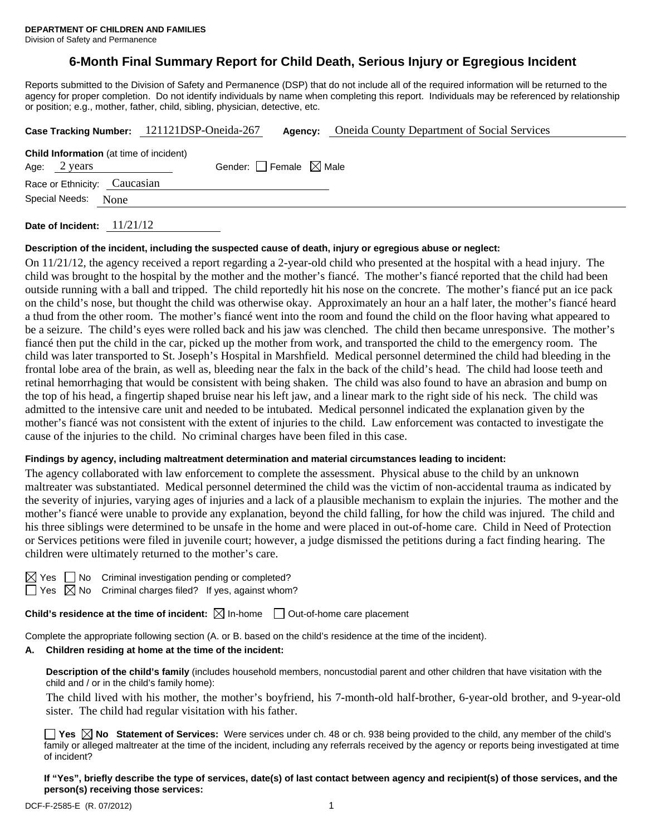# **6-Month Final Summary Report for Child Death, Serious Injury or Egregious Incident**

Reports submitted to the Division of Safety and Permanence (DSP) that do not include all of the required information will be returned to the agency for proper completion. Do not identify individuals by name when completing this report. Individuals may be referenced by relationship or position; e.g., mother, father, child, sibling, physician, detective, etc.

|                                                                                                          |  | Case Tracking Number: 121121DSP-Oneida-267 | Agency: | <b>Oneida County Department of Social Services</b> |  |  |  |  |
|----------------------------------------------------------------------------------------------------------|--|--------------------------------------------|---------|----------------------------------------------------|--|--|--|--|
| Child Information (at time of incident)<br>Gender: $ $ Female $\boxtimes$ Male<br>Age: $2 \text{ years}$ |  |                                            |         |                                                    |  |  |  |  |
| Race or Ethnicity: Caucasian<br>Special Needs: None                                                      |  |                                            |         |                                                    |  |  |  |  |
|                                                                                                          |  |                                            |         |                                                    |  |  |  |  |

**Date of Incident:** 11/21/12

#### **Description of the incident, including the suspected cause of death, injury or egregious abuse or neglect:**

On 11/21/12, the agency received a report regarding a 2-year-old child who presented at the hospital with a head injury. The child was brought to the hospital by the mother and the mother's fiancé. The mother's fiancé reported that the child had been outside running with a ball and tripped. The child reportedly hit his nose on the concrete. The mother's fiancé put an ice pack on the child's nose, but thought the child was otherwise okay. Approximately an hour an a half later, the mother's fiancé heard a thud from the other room. The mother's fiancé went into the room and found the child on the floor having what appeared to be a seizure. The child's eyes were rolled back and his jaw was clenched. The child then became unresponsive. The mother's fiancé then put the child in the car, picked up the mother from work, and transported the child to the emergency room. The child was later transported to St. Joseph's Hospital in Marshfield. Medical personnel determined the child had bleeding in the frontal lobe area of the brain, as well as, bleeding near the falx in the back of the child's head. The child had loose teeth and retinal hemorrhaging that would be consistent with being shaken. The child was also found to have an abrasion and bump on the top of his head, a fingertip shaped bruise near his left jaw, and a linear mark to the right side of his neck. The child was admitted to the intensive care unit and needed to be intubated. Medical personnel indicated the explanation given by the mother's fiancé was not consistent with the extent of injuries to the child. Law enforcement was contacted to investigate the cause of the injuries to the child. No criminal charges have been filed in this case.

#### **Findings by agency, including maltreatment determination and material circumstances leading to incident:**

The agency collaborated with law enforcement to complete the assessment. Physical abuse to the child by an unknown maltreater was substantiated. Medical personnel determined the child was the victim of non-accidental trauma as indicated by the severity of injuries, varying ages of injuries and a lack of a plausible mechanism to explain the injuries. The mother and the mother's fiancé were unable to provide any explanation, beyond the child falling, for how the child was injured. The child and his three siblings were determined to be unsafe in the home and were placed in out-of-home care. Child in Need of Protection or Services petitions were filed in juvenile court; however, a judge dismissed the petitions during a fact finding hearing. The children were ultimately returned to the mother's care.

| ٧ |  |
|---|--|
|   |  |

 $\Box$  No Criminal investigation pending or completed?  $\Box$  Yes  $\boxtimes$  No Criminal charges filed? If yes, against whom?

**Child's residence at the time of incident:**  $\boxtimes$  In-home  $\Box$  Out-of-home care placement

Complete the appropriate following section (A. or B. based on the child's residence at the time of the incident).

#### **A. Children residing at home at the time of the incident:**

**Description of the child's family** (includes household members, noncustodial parent and other children that have visitation with the child and / or in the child's family home):

 The child lived with his mother, the mother's boyfriend, his 7-month-old half-brother, 6-year-old brother, and 9-year-old sister. The child had regular visitation with his father.

**Yes No Statement of Services:** Were services under ch. 48 or ch. 938 being provided to the child, any member of the child's family or alleged maltreater at the time of the incident, including any referrals received by the agency or reports being investigated at time of incident?

**If "Yes", briefly describe the type of services, date(s) of last contact between agency and recipient(s) of those services, and the person(s) receiving those services:**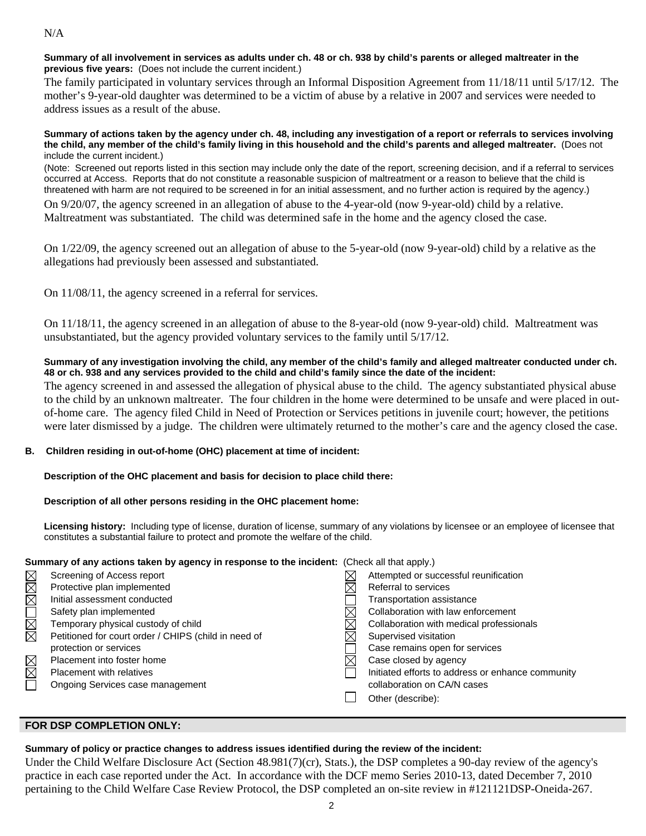### N/A

### **Summary of all involvement in services as adults under ch. 48 or ch. 938 by child's parents or alleged maltreater in the previous five years:** (Does not include the current incident.)

The family participated in voluntary services through an Informal Disposition Agreement from 11/18/11 until 5/17/12. The mother's 9-year-old daughter was determined to be a victim of abuse by a relative in 2007 and services were needed to address issues as a result of the abuse.

#### **Summary of actions taken by the agency under ch. 48, including any investigation of a report or referrals to services involving the child, any member of the child's family living in this household and the child's parents and alleged maltreater.** (Does not include the current incident.)

(Note: Screened out reports listed in this section may include only the date of the report, screening decision, and if a referral to services occurred at Access. Reports that do not constitute a reasonable suspicion of maltreatment or a reason to believe that the child is threatened with harm are not required to be screened in for an initial assessment, and no further action is required by the agency.)

On 9/20/07, the agency screened in an allegation of abuse to the 4-year-old (now 9-year-old) child by a relative. Maltreatment was substantiated. The child was determined safe in the home and the agency closed the case.

On 1/22/09, the agency screened out an allegation of abuse to the 5-year-old (now 9-year-old) child by a relative as the allegations had previously been assessed and substantiated.

On 11/08/11, the agency screened in a referral for services.

On 11/18/11, the agency screened in an allegation of abuse to the 8-year-old (now 9-year-old) child. Maltreatment was unsubstantiated, but the agency provided voluntary services to the family until 5/17/12.

### **Summary of any investigation involving the child, any member of the child's family and alleged maltreater conducted under ch. 48 or ch. 938 and any services provided to the child and child's family since the date of the incident:**

The agency screened in and assessed the allegation of physical abuse to the child. The agency substantiated physical abuse to the child by an unknown maltreater. The four children in the home were determined to be unsafe and were placed in outof-home care. The agency filed Child in Need of Protection or Services petitions in juvenile court; however, the petitions were later dismissed by a judge. The children were ultimately returned to the mother's care and the agency closed the case.

# **B. Children residing in out-of-home (OHC) placement at time of incident:**

# **Description of the OHC placement and basis for decision to place child there:**

# **Description of all other persons residing in the OHC placement home:**

**Licensing history:** Including type of license, duration of license, summary of any violations by licensee or an employee of licensee that constitutes a substantial failure to protect and promote the welfare of the child.

| Summary of any actions taken by agency in response to the incident: (Check all that apply.) |                                                      |  |                                                   |  |  |
|---------------------------------------------------------------------------------------------|------------------------------------------------------|--|---------------------------------------------------|--|--|
|                                                                                             | Screening of Access report                           |  | Attempted or successful reunification             |  |  |
|                                                                                             | Protective plan implemented                          |  | Referral to services                              |  |  |
|                                                                                             | Initial assessment conducted                         |  | <b>Transportation assistance</b>                  |  |  |
|                                                                                             | Safety plan implemented                              |  | Collaboration with law enforcement                |  |  |
| MMOMMM                                                                                      | Temporary physical custody of child                  |  | Collaboration with medical professionals          |  |  |
|                                                                                             | Petitioned for court order / CHIPS (child in need of |  | Supervised visitation                             |  |  |
|                                                                                             | protection or services                               |  | Case remains open for services                    |  |  |
|                                                                                             | Placement into foster home                           |  | Case closed by agency                             |  |  |
| $T\boxtimes \boxtimes$                                                                      | <b>Placement with relatives</b>                      |  | Initiated efforts to address or enhance community |  |  |
|                                                                                             | Ongoing Services case management                     |  | collaboration on CA/N cases                       |  |  |
|                                                                                             |                                                      |  | Other (describe):                                 |  |  |

# **FOR DSP COMPLETION ONLY:**

# **Summary of policy or practice changes to address issues identified during the review of the incident:**

Under the Child Welfare Disclosure Act (Section 48.981(7)(cr), Stats.), the DSP completes a 90-day review of the agency's practice in each case reported under the Act. In accordance with the DCF memo Series 2010-13, dated December 7, 2010 pertaining to the Child Welfare Case Review Protocol, the DSP completed an on-site review in #121121DSP-Oneida-267.